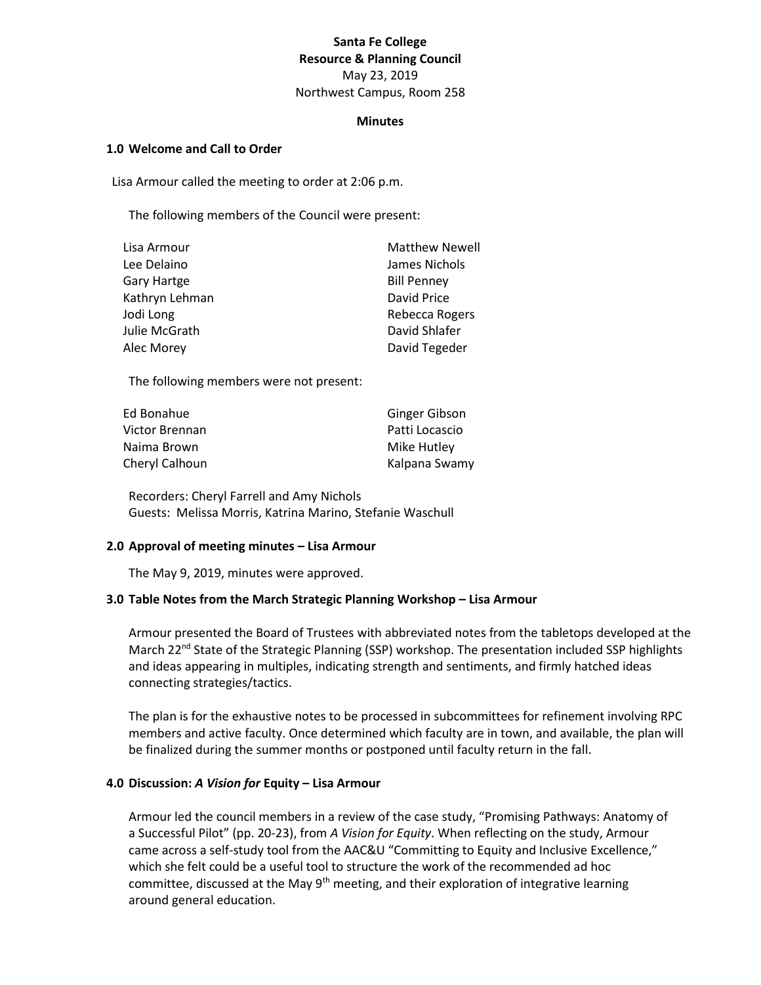# **Santa Fe College Resource & Planning Council** May 23, 2019 Northwest Campus, Room 258

#### **Minutes**

#### **1.0 Welcome and Call to Order**

Lisa Armour called the meeting to order at 2:06 p.m.

The following members of the Council were present:

| <b>Matthew Newell</b> |
|-----------------------|
| James Nichols         |
| <b>Bill Penney</b>    |
| David Price           |
| Rebecca Rogers        |
| David Shlafer         |
| David Tegeder         |
|                       |

The following members were not present:

| Ed Bonahue     | Ginger Gibson  |
|----------------|----------------|
| Victor Brennan | Patti Locascio |
| Naima Brown    | Mike Hutley    |
| Cheryl Calhoun | Kalpana Swamy  |

Recorders: Cheryl Farrell and Amy Nichols Guests: Melissa Morris, Katrina Marino, Stefanie Waschull

### **2.0 Approval of meeting minutes – Lisa Armour**

The May 9, 2019, minutes were approved.

### **3.0 Table Notes from the March Strategic Planning Workshop – Lisa Armour**

Armour presented the Board of Trustees with abbreviated notes from the tabletops developed at the March 22<sup>nd</sup> State of the Strategic Planning (SSP) workshop. The presentation included SSP highlights and ideas appearing in multiples, indicating strength and sentiments, and firmly hatched ideas connecting strategies/tactics.

The plan is for the exhaustive notes to be processed in subcommittees for refinement involving RPC members and active faculty. Once determined which faculty are in town, and available, the plan will be finalized during the summer months or postponed until faculty return in the fall.

### **4.0 Discussion:** *A Vision for* **Equity – Lisa Armour**

Armour led the council members in a review of the case study, "Promising Pathways: Anatomy of a Successful Pilot" (pp. 20-23), from *A Vision for Equity*. When reflecting on the study, Armour came across a self-study tool from the AAC&U "Committing to Equity and Inclusive Excellence," which she felt could be a useful tool to structure the work of the recommended ad hoc committee, discussed at the May 9<sup>th</sup> meeting, and their exploration of integrative learning around general education.